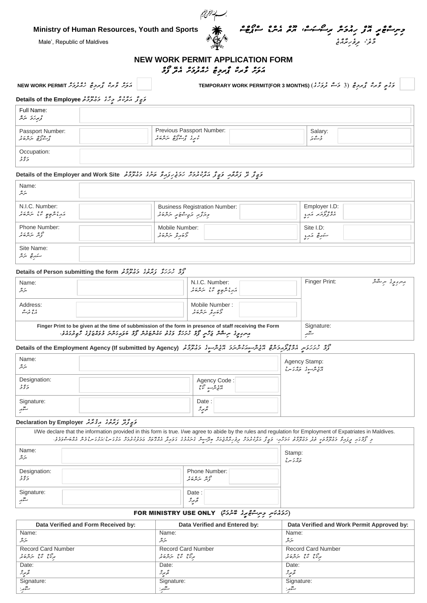**Ministry of Human Resources, Youth and Sports**



<u>َ</u> حِسِنَ ۡھُوَ نَہُمۡ کُمُ مِنۡ ۡمُسَمَّسُ اللّٰہُ ۡ مُسَمَّدُ ۖ سَالۡرَضِمُ ۖ ۖ مَحَّرْ<sup>مِ،</sup> مِر*وْرِ بَنَّہُ جَ* فِی مَسْتَقَدِّ مِنْ مِنْ رَسِمَةِ اللہ (Male', Republic of Maldives

#### **NEW WORK PERMIT APPLICATION FORM** *އަލަށް ވާރކް ޕާރމިޓް ހެއްދުމަށް އެދޭ ފޯމް*

*އަލަށް ވާރކް ޕާރމިޓް ހެއްދުމަށް* **PERMIT WORK NEW**

 *ވަގުތީ ވާރކް ޕާރމިޓް )3 މަސް ދުވަހުގެ(* **(MONTHS 3 FOR(PERMIT WORK TEMPORARY**

#### *ވަޒީފާ އަދާކުރާ މީހާގެ މަޢުލޫމާތު* **Employee the of Details**

| Full Name:<br>ۇىرىزى ئىرتىر                      |                                                        |                   |
|--------------------------------------------------|--------------------------------------------------------|-------------------|
| :Passport Number<br>گِرَشَہُ کِھ سَرَسْرَحَہُ کِ | : Previous Passport Number<br>ٹرمیرڈ گریشنجی سریفرٹ نے | Salary:<br>ۇشەئىر |
| Occupation:<br>352                               |                                                        |                   |

## *ވަޒީފާ ދޭ ފަރާތާއި ވަޒީފާ އަދާކުރުމަށް ހަމަޖެހިފައިވާ ތަނުގެ މަޢުލޫމާތު* **Site Work and Employer the of Details**

| Name:<br>ىئرىتر                   |                                            |                |  |
|-----------------------------------|--------------------------------------------|----------------|--|
| N.I.C. Number:                    | <b>Business Registration Number:</b>       | Employer I.D:  |  |
|                                   | وازدٌبر برَمٍ صَحَبِرِ مَرَمَّرَهُ بَرِ    | 2000 התוא האגו |  |
| Phone Number:                     | Mobile Number:                             | Site I.D:      |  |
| ەھ بىر مەدە                       | ەر مەر ئەرەرد<br>دەمەر ئىرتىر <i>مە</i> تر | ستهدهج تنهبع   |  |
| Site Name:<br>سَتَهُرِ عَ سَرَسْر |                                            |                |  |

#### *ފޯމް ހުށަހަޅާ ފަރާތުގެ މަޢުލޫމާތު* **form the submitting Person of Details**

| Name:<br>سرير                                                                                           | N.I.C. Number:<br>مستحصي الله المستراه والمحمد                 | Finger Print:                              | برسر <sub>ی پو</sub> ی سرمگ <i>ینگر</i> |
|---------------------------------------------------------------------------------------------------------|----------------------------------------------------------------|--------------------------------------------|-----------------------------------------|
| Address:<br>، ه ، د ه<br>مرو برگ                                                                        | Mobile Number:<br>ەر بەر ئەرگەردە<br>جەمەر ئىرلىر <i>ە</i> ئىر |                                            |                                         |
| Finger Print to be given at the time of subbmission of the form in presence of staff receiving the Form |                                                                | Signature:<br>$\mathbf{\mathbf{X}}$<br>سىد |                                         |

#### م و دیرید و موضوع مده و مدیر میگردد. محصول مدیر میگردد و مدیر محصول Details of the Employment Agency (If submitted by Agency)

| Name:<br>سرتر       | $\sim$<br>$\sim$                   | $\sim$<br>$\sim$<br>:Agency Stamp<br>"دی عرضہ دی تھا جہاں تھا ج |
|---------------------|------------------------------------|-----------------------------------------------------------------|
| Designation:<br>35  | Agency Code<br>  دی پیمبر سے متعلق |                                                                 |
| Signature:<br>يتمهر | Date:<br>ېږ ه<br>د برگ<br>b        |                                                                 |

#### *ވަޒީފާދޭ ފަރާތުގެ އިޤުރާރު* **Employer by Declaration**

|                        | I/We declare that the information provided in this form is true. I/we agree to abide by the rules and regulation for Employment of Expatriates in Maldives.<br>و گرفته برگرمت وجوده و مورد و مورد از کرد کرد می کرد و در مورد از سرد و از کرد و مورد می در دور در مرد سرد امر و مورد و مورد و در کرد و در کرد و در کرد و در کرد و در کرد و در کرد و در کرد و در کرد و در کرد و در کرد و در کر |                      |
|------------------------|-----------------------------------------------------------------------------------------------------------------------------------------------------------------------------------------------------------------------------------------------------------------------------------------------------------------------------------------------------------------------------------------------|----------------------|
| Name:<br>سرتر          |                                                                                                                                                                                                                                                                                                                                                                                               | Stamp:<br>> 0<br>500 |
| Designation:<br>5 تۇقر | Phone Number:<br>ەي بەر يەر د                                                                                                                                                                                                                                                                                                                                                                 |                      |
| Signature:<br>ستترر    | Date:<br>مجر پر رہ<br>حو <i>ہو ن</i> ر                                                                                                                                                                                                                                                                                                                                                        |                      |

#### *)ހަމައެކަނި މިނިސްޓްރީގެ ބޭނުމަށް(* ONLY USE MINISTRY FOR

| Data Verified and Form Received by:       | Data Verified and Entered by: | Data Verified and Work Permit Approved by: |
|-------------------------------------------|-------------------------------|--------------------------------------------|
| Name:                                     | Name:                         | Name:                                      |
| ىئرىتر                                    | $\circ$<br>سرسر               | $\circ$<br>سرسر                            |
| <b>Record Card Number</b>                 | <b>Record Card Number</b>     | <b>Record Card Number</b>                  |
| ە ئەم ئەمدەرد<br>بىرىدى ئىرى ئىرتلىر ھەمر | ە ئەم ئەم ئەرەر د             | ם כי המתפיד.<br>תעוב עב תואים א            |
| Date:                                     | Date:                         | Date:                                      |
| پھ بىرىز                                  | تحرير ثر                      | تحرير ثر                                   |
| Signature:                                | Signature:                    | Signature:                                 |
| ستره.                                     | ستهمه                         | ستتهرج                                     |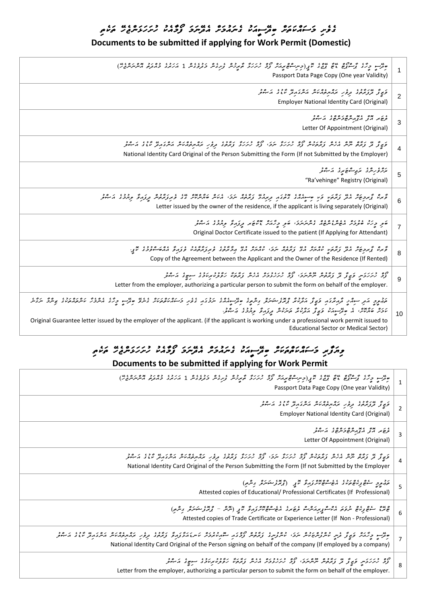## <del>ْ</del> وَمِرِ وَﺳَّﺔﻣَﺘَﻢ وَﺗُﺮْﺣَّﺔ وَﺳُّﺮُﺩَﻳَّﺮُ ﻣُّﺮُّﻣُّﺮَﺔ ۚ وَوَّ ﻫَﻨَ ﺭَﺗَﺮَﺭََّّﻮُﺑَّﺮَّ ﻣَّﺮَّﻣ

### **Documents to be submitted if applying for Work Permit (Domestic)**

| میں دیگر و موضوع ہے اور تھ پیدا کر دست کے درگرد کر دیگر دیکھ دورہ دورہ دورہ دورہ ہیں۔<br>موسم دیگر گردیوں ہے اور تھ اور سر اور اس کا دیکھ کر دیگر کھی تھی اور اس کے دورہ دیکھ اور اس کی ان کا ان کے دور<br>Passport Data Page Copy (One year Validity)                                                                                                                                                                                                                                                                                                          |  |
|-----------------------------------------------------------------------------------------------------------------------------------------------------------------------------------------------------------------------------------------------------------------------------------------------------------------------------------------------------------------------------------------------------------------------------------------------------------------------------------------------------------------------------------------------------------------|--|
| ו זי גודלי גם גם הסיס וסי גז דיני וסירי<br>קיש א תקית זה תקני האהת האת האת התא איז ב היית<br>Employer National Identity Card (Original)                                                                                                                                                                                                                                                                                                                                                                                                                         |  |
| יני אם יא מקרים כיסיי גם כ<br>Letter Of Appointment (Original)                                                                                                                                                                                                                                                                                                                                                                                                                                                                                                  |  |
| ק יז מי קזים וכם 2011 קודקים 10 בקקוד קקיר 10 בקקוד קודקים מי המודינים במודינים קודקים ובינים קודקים.<br>פוציון בקיצות ייקויק הקקית ונוקות ובי קיקקקי ייקודי ובכן קיקקים ובקודקים וקודקים בקודקים מודינים מודינים הקידק<br>National Identity Card Original of the Person Submitting the Form (If not Submitted by the Employer)                                                                                                                                                                                                                                 |  |
| بروء ريره بري شوع بره از شرد<br>5<br>"Ra'vehinge" Registry (Original)                                                                                                                                                                                                                                                                                                                                                                                                                                                                                           |  |
| و ده و دره پای دور پایی در دور در دوره در دید دره در در دره در دوره در دوره در در و در در در در در در در در در<br>و در و پروچر متر و دهید و با حسوم در دوره در در در در در در در مدیر مارسر در در در در در در در در در در در در<br>6<br>Letter issued by the owner of the residence, if the applicant is living separately (Original)                                                                                                                                                                                                                           |  |
| פי כל שיכרי ומשיינייקים וסניני פי כל נס אס בין ולא יכרו ניסיים.<br>פי כל שיכריו ומשיינייקים וייעיותים פי כל ניה ויושא קקול ויחוד וייחוד<br>$\overline{7}$<br>Original Doctor Certificate issued to the patient (If Applying for Attendant)                                                                                                                                                                                                                                                                                                                      |  |
| קים קיין הם נומן במקום במוניק במונים הגדם במונים במוניק המקום במוניק במוניק בבית.<br>קימו קייקפית הבק במקום מהודית היב צימקה יוקבי מהודית היב קיקציאות בצוקקים במסור בקודק בבית עדי<br>8<br>Copy of the Agreement between the Applicant and the Owner of the Residence (If Rented)                                                                                                                                                                                                                                                                              |  |
| קס לגדלת פן צ' ט' דורס מסודר קס בנובנס וונית נדודר וזכב נבט בין די סבר.<br>צב לגדלת פן צ' בן נדודות יותיותכי צב לגדלכת הליו נדודו ופטוקיובל הקיין הריות.<br>9<br>Letter from the employer, authorizing a particular person to submit the form on behalf of the employer.                                                                                                                                                                                                                                                                                        |  |
| הקתק הת החדש תהואצה פצון האיניג מצו היום בין היום וכן הכנה בפת כאמנים היום בין שינו היום הסופי הסופיים ביותר ו<br>הקתק הת החדש תהואצה פצון האיניג גידוני מיודעים בין החדש יוקפה בפת כאומנים, מיודעים ובין בינד היוקדים מיודעים ב<br>קקס המצים של מנה הגביל הבקוד הקדם בקבל קדור בין הייני.<br>מכת סתמתי הם פתיירה משיך הבקמת הייקודיות בקדור בין בין הייני.<br>10<br>Original Guarantee letter issued by the employer of the applicant. (if the applicant is working under a professional work permit issued to<br><b>Educational Sector or Medical Sector)</b> |  |
|                                                                                                                                                                                                                                                                                                                                                                                                                                                                                                                                                                 |  |
| Documents to be submitted if applying for Work Permit                                                                                                                                                                                                                                                                                                                                                                                                                                                                                                           |  |
| س د پروه پر دوره سه سه سه د د پر اوسر ۱۳۹۰ مردم کو در دره پروه با دوره در ۲۰ مردم د ده ده ده می بر مردم د<br>Passport Data Page Copy (One year Validity)                                                                                                                                                                                                                                                                                                                                                                                                        |  |
| ر پر ۲۶۴٬۰۶ میلاد مرد برور ۲۵۲۵ مرحد به ۶۵ مربور مرد د.<br>دی تر تروبر پر در بروبر در بروبر سرد برور ساد و مربور<br><b>Employer National Identity Card (Original)</b>                                                                                                                                                                                                                                                                                                                                                                                           |  |
| Letter Of Appointment (Original)                                                                                                                                                                                                                                                                                                                                                                                                                                                                                                                                |  |
| ן קי מי קדים וכם הגם קדיקים קים בקקדו קקי קסר בקקדו הדיבה - היו היום הסקים קסק מידינה קיים ב-<br>פוציצי בקיצק וקייק הקייק צוקקיטית ציבי קיקקל יוקבי "ציבי קיקקל בקודקי קוקקיקיטיק הייקפקיק או ב- הייקודיק<br>National Identity Card Original of the Person Submitting the Form (If not Submitted by the Employer                                                                                                                                                                                                                                                |  |
| ەچپور سوھ پرىھ ەيرى مەمەم بولىرى تىم (پرىترنومىتىرى بىرمى)<br>Attested copies of Educational/ Professional Certificates (If Professional)                                                                                                                                                                                                                                                                                                                                                                                                                       |  |
| ە يەە مەەر بەھ «رىر مەەھبرىرە ھەم مەمدە بىر ئەھم بىر ئەھم بىر ئەھرى ئارلىرى ئارلىرى ئارلىرى ئارلىرى ئارلىرى ئا<br>Attested copies of Trade Certificate or Experience Letter (If Non - Professional)                                                                                                                                                                                                                                                                                                                                                             |  |
| National Identity Card Original of the Person signing on behalf of the company (If employed by a company)                                                                                                                                                                                                                                                                                                                                                                                                                                                       |  |
| ם כיוון יי אי איכס מסיון לה כיונים וום וליול ולכל וינו ויי ויים.<br>וכ נינועים פאו ב ואמים ישים וכ נינועים בנים ומים ופרטאמוכב הספר היה                                                                                                                                                                                                                                                                                                                                                                                                                         |  |

8 <u>زو زیر زنوس ویچ تو نور مرکز در مرکز نور مرکز زندگی نوم مرکز کو سرح کر مبکو</u> Letter from the employer, authorizing a particular person to submit the form on behalf of the employer.